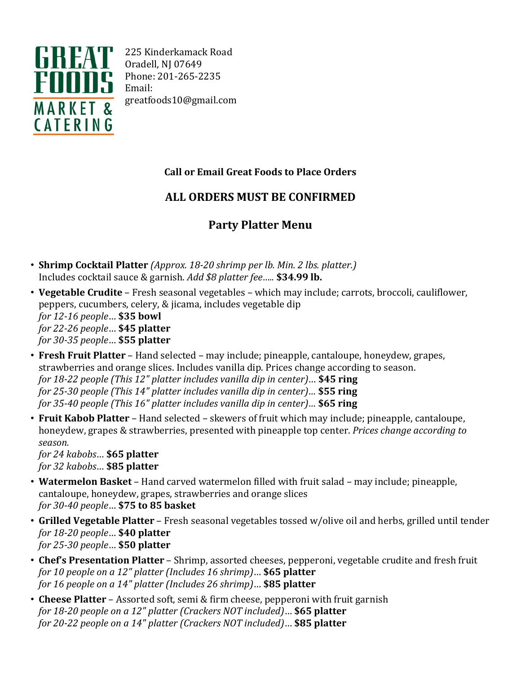

225 Kinderkamack Road Oradell, NJ 07649 Phone: 201-265-2235 Email: greatfoods10@gmail.com

## **Call or Email Great Foods to Place Orders**

## **ALL ORDERS MUST BE CONFIRMED**

## **Party Platter Menu**

- **Shrimp Cocktail Platter** *(Approx. 18-20 shrimp per lb. Min. 2 lbs. platter.)* Includes cocktail sauce & garnish. *Add \$8 platter fee…..* **\$34.99 lb.**
- **Vegetable Crudite** Fresh seasonal vegetables which may include; carrots, broccoli, cauliflower, peppers, cucumbers, celery, & jicama, includes vegetable dip *for 12-16 people*… **\$35 bowl** *for 22-26 people*… **\$45 platter** *for 30-35 people*… **\$55 platter**
- **Fresh Fruit Platter** Hand selected may include; pineapple, cantaloupe, honeydew, grapes, strawberries and orange slices. Includes vanilla dip. Prices change according to season. *for 18-22 people (This 12" platter includes vanilla dip in center)*… **\$45 ring** *for 25-30 people (This 14" platter includes vanilla dip in center)…* **\$55 ring** *for 35-40 people (This 16" platter includes vanilla dip in center)…* **\$65 ring**
- **Fruit Kabob Platter** Hand selected skewers of fruit which may include; pineapple, cantaloupe, honeydew, grapes & strawberries, presented with pineapple top center. *Prices change according to season.*

*for 24 kabobs*… **\$65 platter** *for 32 kabobs*… **\$85 platter**

- **Watermelon Basket** Hand carved watermelon filled with fruit salad may include; pineapple, cantaloupe, honeydew, grapes, strawberries and orange slices *for 30-40 people*… **\$75 to 85 basket**
- **Grilled Vegetable Platter** Fresh seasonal vegetables tossed w/olive oil and herbs, grilled until tender *for 18-20 people*… **\$40 platter** *for 25-30 people*… **\$50 platter**
- **Chef's Presentation Platter** Shrimp, assorted cheeses, pepperoni, vegetable crudite and fresh fruit *for 10 people on a 12" platter (Includes 16 shrimp)*… **\$65 platter** *for 16 people on a 14" platter (Includes 26 shrimp)*… **\$85 platter**
- **Cheese Platter** Assorted soft, semi & firm cheese, pepperoni with fruit garnish *for 18-20 people on a 12" platter (Crackers NOT included)*… **\$65 platter** *for 20-22 people on a 14" platter (Crackers NOT included)*… **\$85 platter**